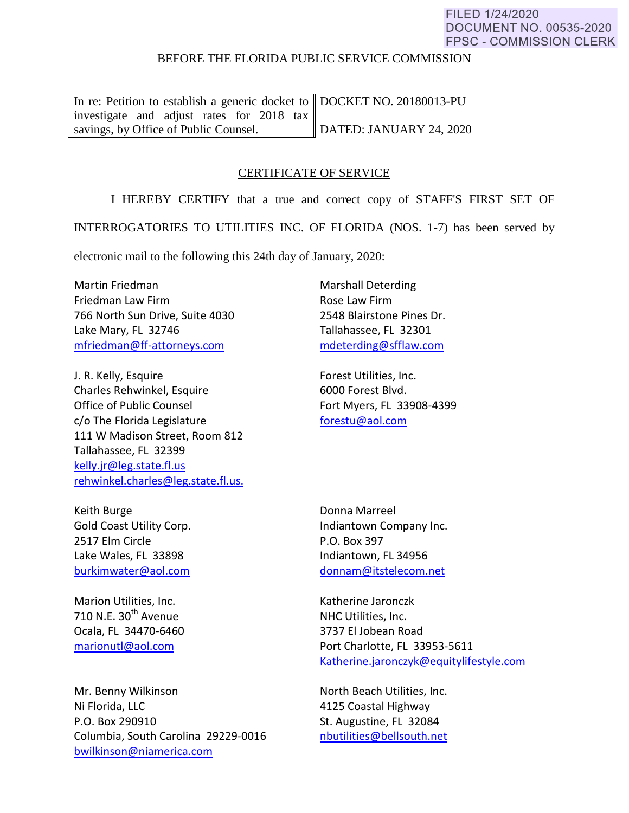## FILED 1/24/2020 **DOCUMENT NO. 00535-2020 FPSC - COMMISSION CLERK**

## BEFORE THE FLORIDA PUBLIC SERVICE COMMISSION

In re: Petition to establish a generic docket to DOCKET NO. 20180013-PU investigate and adjust rates for 2018 tax savings, by Office of Public Counsel. DATED: JANUARY 24, 2020

## CERTIFICATE OF SERVICE

I HEREBY CERTIFY that a true and correct copy of STAFF'S FIRST SET OF

INTERROGATORIES TO UTILITIES INC. OF FLORIDA (NOS. 1-7) has been served by

electronic mail to the following this 24th day of January, 2020:

Martin Friedman Friedman Law Firm 766 North Sun Drive, Suite 4030 Lake Mary, FL 32746 [mfriedman@ff-attorneys.com](mailto:mfriedman@ff-attorneys.com)

J. R. Kelly, Esquire Charles Rehwinkel, Esquire Office of Public Counsel c/o The Florida Legislature 111 W Madison Street, Room 812 Tallahassee, FL 32399 [kelly.jr@leg.state.fl.us](mailto:kelly.jr@leg.state.fl.us) [rehwinkel.charles@leg.state.fl.us.](mailto:rehwinkel.charles@leg.state.fl.us.)

Keith Burge Gold Coast Utility Corp. 2517 Elm Circle Lake Wales, FL 33898 [burkimwater@aol.com](mailto:burkimwater@aol.com)

Marion Utilities, Inc. 710 N.E.  $30<sup>th</sup>$  Avenue Ocala, FL 34470-6460 [marionutl@aol.com](mailto:marionutl@aol.com) 

Mr. Benny Wilkinson Ni Florida, LLC P.O. Box 290910 Columbia, South Carolina 29229-0016 [bwilkinson@niamerica.com](mailto:bwilkinson@niamerica.com)

Marshall Deterding Rose Law Firm 2548 Blairstone Pines Dr. Tallahassee, FL 32301 [mdeterding@sfflaw.com](mailto:mdeterding@sfflaw.com)

Forest Utilities, Inc. 6000 Forest Blvd. Fort Myers, FL 33908-4399 [forestu@aol.com](mailto:forestu@aol.com) 

Donna Marreel Indiantown Company Inc. P.O. Box 397 Indiantown, FL 34956 [donnam@itstelecom.net](mailto:donnam@itstelecom.net)

Katherine Jaronczk NHC Utilities, Inc. 3737 El Jobean Road Port Charlotte, FL 33953-5611 [Katherine.jaronczyk@equitylifestyle.com](mailto:Katherine.jaronczyk@equitylifestyle.com)

North Beach Utilities, Inc. 4125 Coastal Highway St. Augustine, FL 32084 [nbutilities@bellsouth.net](mailto:nbutilities@bellsouth.net)